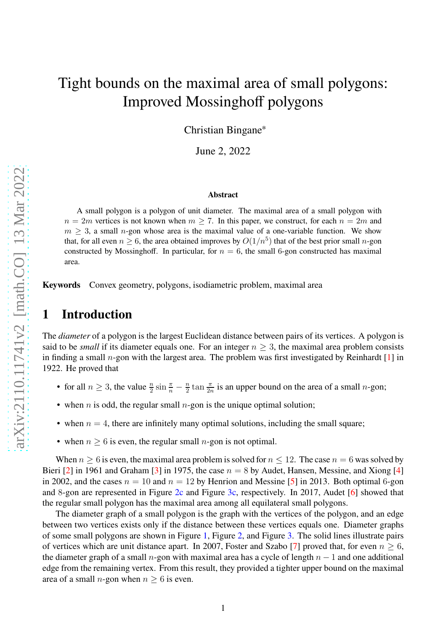# Tight bounds on the maximal area of small polygons: Improved Mossinghoff polygons

Christian Bingane<sup>∗</sup>

June 2, 2022

#### **Abstract**

A small polygon is a polygon of unit diameter. The maximal area of a small polygon with  $n = 2m$  vertices is not known when  $m \ge 7$ . In this paper, we construct, for each  $n = 2m$  and  $m \geq 3$ , a small n-gon whose area is the maximal value of a one-variable function. We show that, for all even  $n \geq 6$ , the area obtained improves by  $O(1/n^5)$  that of the best prior small *n*-gon constructed by Mossinghoff. In particular, for  $n = 6$ , the small 6-gon constructed has maximal area.

**Keywords** Convex geometry, polygons, isodiametric problem, maximal area

# **1 Introduction**

The *diameter* of a polygon is the largest Euclidean distance between pairs of its vertices. A polygon is said to be *small* if its diameter equals one. For an integer  $n \geq 3$ , the maximal area problem consists in finding a small *n*-gon with the largest area. The problem was first investigated by Reinhardt  $\lceil 1 \rceil$  in 1922. He proved that

- for all  $n \ge 3$ , the value  $\frac{n}{2} \sin \frac{\pi}{n} \frac{n}{2}$  $\frac{n}{2}$  tan  $\frac{\pi}{2n}$  is an upper bound on the area of a small *n*-gon;
- when *n* is odd, the regular small *n*-gon is the unique optimal solution;
- when  $n = 4$ , there are infinitely many optimal solutions, including the small square;
- when  $n \geq 6$  is even, the regular small *n*-gon is not optimal.

When  $n \geq 6$  is even, the maximal area problem is solved for  $n \leq 12$ . The case  $n = 6$  was solved by Bieri [\[2\]](#page-8-1) in 1961 and Graham [\[3\]](#page-8-2) in 1975, the case  $n = 8$  by Audet, Hansen, Messine, and Xiong [\[4\]](#page-8-3) in 2002, and the cases  $n = 10$  and  $n = 12$  by Henrion and Messine [\[5\]](#page-8-4) in 2013. Both optimal 6-gon and 8-gon are represented in Figure [2c](#page-1-0) and Figure [3c,](#page-1-1) respectively. In 2017, Audet [\[6\]](#page-8-5) showed that the regular small polygon has the maximal area among all equilateral small polygons.

The diameter graph of a small polygon is the graph with the vertices of the polygon, and an edge between two vertices exists only if the distance between these vertices equals one. Diameter graphs of some small polygons are shown in Figure [1,](#page-1-2) Figure [2,](#page-1-3) and Figure [3.](#page-1-4) The solid lines illustrate pairs of vertices which are unit distance apart. In 2007, Foster and Szabo [\[7\]](#page-8-6) proved that, for even  $n > 6$ , the diameter graph of a small n-gon with maximal area has a cycle of length  $n - 1$  and one additional edge from the remaining vertex. From this result, they provided a tighter upper bound on the maximal area of a small *n*-gon when  $n > 6$  is even.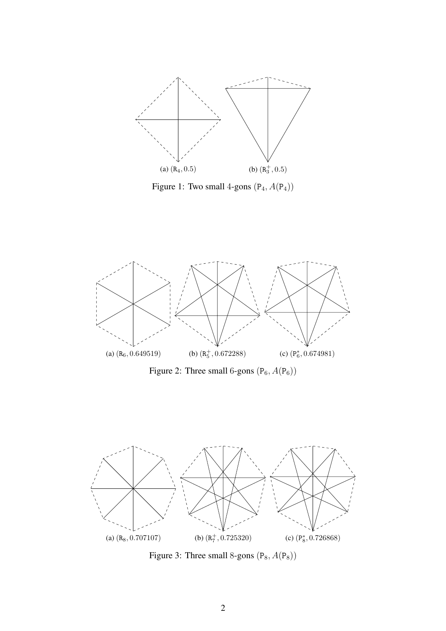<span id="page-1-2"></span>

Figure 1: Two small 4-gons  $(\mathtt{P}_4, A(\mathtt{P}_4))$ 

<span id="page-1-3"></span>

<span id="page-1-0"></span>Figure 2: Three small 6-gons  $(P_6, A(P_6))$ 

<span id="page-1-4"></span>

<span id="page-1-1"></span>Figure 3: Three small 8-gons  $(P_8, A(P_8))$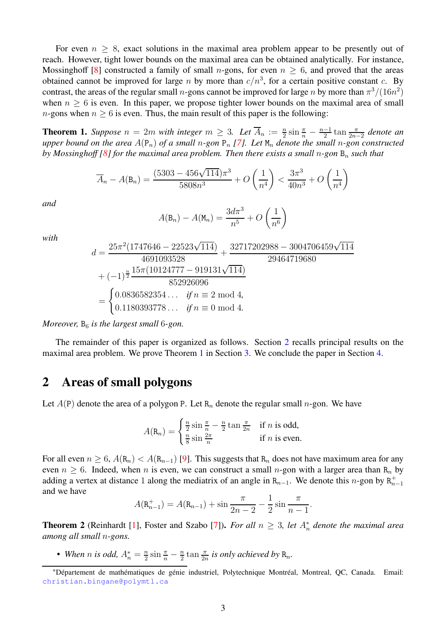For even  $n \geq 8$ , exact solutions in the maximal area problem appear to be presently out of reach. However, tight lower bounds on the maximal area can be obtained analytically. For instance, Mossinghoff [\[8\]](#page-8-7) constructed a family of small *n*-gons, for even  $n \geq 6$ , and proved that the areas obtained cannot be improved for large n by more than  $c/n^3$ , for a certain positive constant c. By contrast, the areas of the regular small *n*-gons cannot be improved for large *n* by more than  $\pi^3/(16n^2)$ when  $n \geq 6$  is even. In this paper, we propose tighter lower bounds on the maximal area of small *n*-gons when  $n \geq 6$  is even. Thus, the main result of this paper is the following:

<span id="page-2-1"></span>**Theorem 1.** *Suppose*  $n = 2m$  *with integer*  $m \geq 3$ *. Let*  $\overline{A}_n := \frac{n}{2} \sin \frac{\pi}{n} - \frac{n-1}{2} \tan \frac{\pi}{2n-2}$  denote an *upper bound on the area*  $A(\mathsf{P}_n)$  *of a small* n-gon  $\mathsf{P}_n$  [\[7\]](#page-8-6)*. Let*  $\mathsf{M}_n$  *denote the small* n-gon constructed *by Mossinghoff [\[8\]](#page-8-7) for the maximal area problem. Then there exists a small n-gon* B<sub>n</sub> *such that* 

$$
\overline{A}_n - A(\mathbf{B}_n) = \frac{(5303 - 456\sqrt{114})\pi^3}{5808n^3} + O\left(\frac{1}{n^4}\right) < \frac{3\pi^3}{40n^3} + O\left(\frac{1}{n^4}\right)
$$

*and*

$$
A(\mathsf{B}_n) - A(\mathsf{M}_n) = \frac{3d\pi^3}{n^5} + O\left(\frac{1}{n^6}\right)
$$

*with*

$$
d = \frac{25\pi^2 (1747646 - 22523\sqrt{114})}{4691093528} + \frac{32717202988 - 3004706459\sqrt{114}}{29464719680}
$$
  
+  $(-1)^{\frac{n}{2}} \frac{15\pi (10124777 - 919131\sqrt{114})}{852926096}$   
= 
$$
\begin{cases} 0.0836582354 \dots & \text{if } n \equiv 2 \text{ mod } 4, \\ 0.1180393778 \dots & \text{if } n \equiv 0 \text{ mod } 4. \end{cases}
$$

*Moreover,*  $B_6$  *is the largest small* 6*-gon.* 

The remainder of this paper is organized as follows. Section [2](#page-2-0) recalls principal results on the maximal area problem. We prove Theorem [1](#page-2-1) in Section [3.](#page-3-0) We conclude the paper in Section [4.](#page-8-8)

## <span id="page-2-0"></span>**2 Areas of small polygons**

Let  $A(P)$  denote the area of a polygon P. Let  $R_n$  denote the regular small n-gon. We have

$$
A(\mathbf{R}_n) = \begin{cases} \frac{n}{2}\sin\frac{\pi}{n} - \frac{n}{2}\tan\frac{\pi}{2n} & \text{if } n \text{ is odd,} \\ \frac{n}{8}\sin\frac{2\pi}{n} & \text{if } n \text{ is even.} \end{cases}
$$

For all even  $n \geq 6$ ,  $A(\mathbf{R}_n) < A(\mathbf{R}_{n-1})$  [\[9\]](#page-9-0). This suggests that  $\mathbf{R}_n$  does not have maximum area for any even  $n \geq 6$ . Indeed, when n is even, we can construct a small n-gon with a larger area than R<sub>n</sub> by adding a vertex at distance 1 along the mediatrix of an angle in  $R_{n-1}$ . We denote this n-gon by  $R_{n-1}^+$ and we have

$$
A(\mathbf{R}_{n-1}^+) = A(\mathbf{R}_{n-1}) + \sin \frac{\pi}{2n-2} - \frac{1}{2} \sin \frac{\pi}{n-1}.
$$

<span id="page-2-2"></span>**Theorem 2** (Reinhardt [\[1\]](#page-8-0), Foster and Szabo [\[7\]](#page-8-6)). *For all*  $n \geq 3$ , *let*  $A_n^*$  *denote the maximal area among all small* n*-gons.*

• When *n* is odd,  $A_n^* = \frac{n}{2}$  $\frac{n}{2}\sin\frac{\pi}{n}-\frac{n}{2}$  $\frac{n}{2}$  tan  $\frac{\pi}{2n}$  is only achieved by  $\mathrm{R}_n$ .

<sup>∗</sup>Département de mathématiques de génie industriel, Polytechnique Montréal, Montreal, QC, Canada. Email: <christian.bingane@polymtl.ca>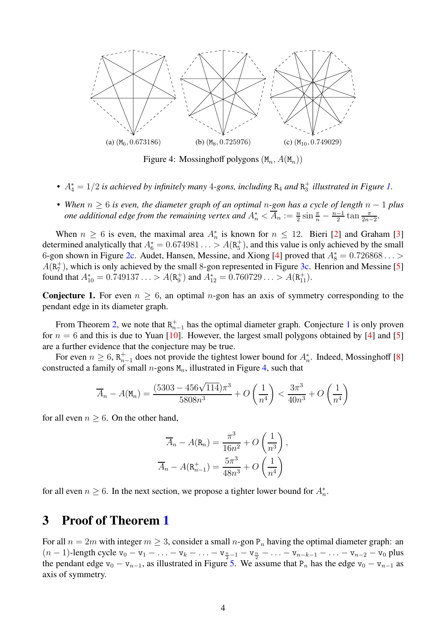<span id="page-3-2"></span>

Figure 4: Mossinghoff polygons  $(M_n, A(M_n))$ 

- $A_4^* = 1/2$  *is achieved by infinitely many* 4-gons, *including*  $R_4$  *and*  $R_3^+$  *illustrated in Figure [1.](#page-1-2)*
- *When* <sup>n</sup> <sup>≥</sup> <sup>6</sup> *is even, the diameter graph of an optimal* <sup>n</sup>*-gon has a cycle of length* <sup>n</sup> <sup>−</sup> <sup>1</sup> *plus one additional edge from the remaining vertex and*  $A_n^* < \overline{A}_n := \frac{n}{2} \sin \frac{\pi}{n} - \frac{n-1}{2} \tan \frac{\pi}{2n-2}$ .

When  $n \geq 6$  is even, the maximal area  $A_n^*$  is known for  $n \leq 12$ . Bieri [\[2\]](#page-8-1) and Graham [\[3\]](#page-8-2) determined analytically that  $A_6^* = 0.674981... > A(R_5^+)$ , and this value is only achieved by the small 6-gon shown in Figure [2c.](#page-1-0) Audet, Hansen, Messine, and Xiong [\[4\]](#page-8-3) proved that  $A_8^* = 0.726868...$  $A(R_7^+)$ , which is only achieved by the small 8-gon represented in Figure [3c.](#page-1-1) Henrion and Messine [\[5\]](#page-8-4) found that  $A_{10}^* = 0.749137... > A(R_9^+)$  and  $A_{12}^* = 0.760729... > A(R_{11}^+).$ 

<span id="page-3-1"></span>**Conjecture 1.** For even  $n \geq 6$ , an optimal *n*-gon has an axis of symmetry corresponding to the pendant edge in its diameter graph.

From Theorem [2,](#page-2-2) we note that  $R_{n-1}^+$  $R_{n-1}^+$  $R_{n-1}^+$  has the optimal diameter graph. Conjecture 1 is only proven for  $n = 6$  and this is due to Yuan [\[10\]](#page-9-1). However, the largest small polygons obtained by [\[4\]](#page-8-3) and [\[5\]](#page-8-4) are a further evidence that the conjecture may be true.

For even  $n \geq 6$ ,  $R_{n-1}^+$  does not provide the tightest lower bound for  $A_n^*$ . Indeed, Mossinghoff [\[8\]](#page-8-7) constructed a family of small  $n$ -gons  $M_n$ , illustrated in Figure [4,](#page-3-2) such that

$$
\overline{A}_n - A(\mathbf{M}_n) = \frac{(5303 - 456\sqrt{114})\pi^3}{5808n^3} + O\left(\frac{1}{n^4}\right) < \frac{3\pi^3}{40n^3} + O\left(\frac{1}{n^4}\right)
$$

for all even  $n \geq 6$ . On the other hand,

$$
\overline{A}_n - A(\mathbf{R}_n) = \frac{\pi^3}{16n^2} + O\left(\frac{1}{n^3}\right),
$$

$$
\overline{A}_n - A(\mathbf{R}_{n-1}^+) = \frac{5\pi^3}{48n^3} + O\left(\frac{1}{n^4}\right)
$$

for all even  $n \ge 6$ . In the next section, we propose a tighter lower bound for  $A_n^*$ .

#### <span id="page-3-0"></span>**3 Proof of Theorem [1](#page-2-1)**

For all  $n = 2m$  with integer  $m \geq 3$ , consider a small n-gon  $P_n$  having the optimal diameter graph: an  $(n-1)$ -length cycle  $v_0 - v_1 - \ldots - v_k - \ldots - v_{\frac{n}{2}-1} - v_{\frac{n}{2}} - \ldots - v_{n-k-1} - \ldots - v_{n-2} - v_0$  plus the pendant edge v<sub>0</sub> − v<sub>n−1</sub>, as illustrated in Figure [5.](#page-4-0) We assume that P<sub>n</sub> has the edge v<sub>0</sub> − v<sub>n−1</sub> as axis of symmetry.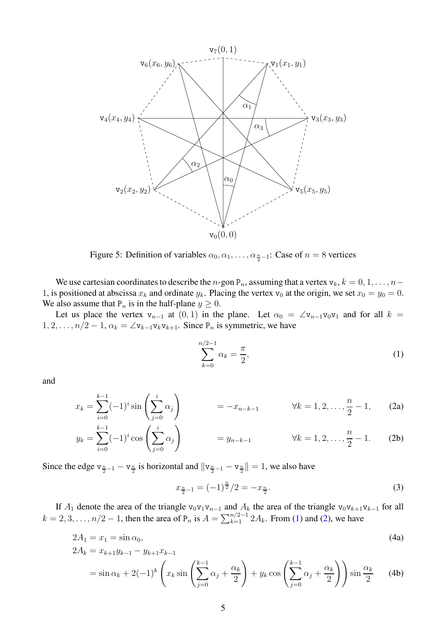<span id="page-4-0"></span>

Figure 5: Definition of variables  $\alpha_0, \alpha_1, \dots, \alpha_{\frac{n}{2}-1}$ : Case of  $n = 8$  vertices

We use cartesian coordinates to describe the n-gon  $P_n$ , assuming that a vertex  $v_k$ ,  $k = 0, 1, \ldots, n-1$ 1, is positioned at abscissa  $x_k$  and ordinate  $y_k$ . Placing the vertex  $v_0$  at the origin, we set  $x_0 = y_0 = 0$ . We also assume that  $P_n$  is in the half-plane  $y \ge 0$ .

Let us place the vertex  $v_{n-1}$  at  $(0, 1)$  in the plane. Let  $\alpha_0 = \angle v_{n-1}v_0v_1$  and for all  $k =$  $1, 2, \ldots, n/2-1, \alpha_k = \angle \mathbf{v}_{k-1} \mathbf{v}_k \mathbf{v}_{k+1}$ . Since  $P_n$  is symmetric, we have

<span id="page-4-1"></span>
$$
\sum_{k=0}^{n/2-1} \alpha_k = \frac{\pi}{2},
$$
 (1)

<span id="page-4-2"></span>and

$$
x_k = \sum_{i=0}^{k-1} (-1)^i \sin\left(\sum_{j=0}^i \alpha_j\right) \qquad = -x_{n-k-1} \qquad \forall k = 1, 2, \dots, \frac{n}{2} - 1,\qquad(2a)
$$

$$
y_k = \sum_{i=0}^{k-1} (-1)^i \cos\left(\sum_{j=0}^i \alpha_j\right) \qquad = y_{n-k-1} \qquad \forall k = 1, 2, \dots, \frac{n}{2} - 1. \tag{2b}
$$

Since the edge  $v_{\frac{n}{2}-1} - v_{\frac{n}{2}}$  is horizontal and  $||v_{\frac{n}{2}-1} - v_{\frac{n}{2}}|| = 1$ , we also have

<span id="page-4-4"></span><span id="page-4-3"></span>
$$
x_{\frac{n}{2}-1} = (-1)^{\frac{n}{2}}/2 = -x_{\frac{n}{2}}.\tag{3}
$$

If  $A_1$  denote the area of the triangle v<sub>0</sub>v<sub>1</sub>v<sub>n−1</sub> and  $A_k$  the area of the triangle v<sub>0</sub>v<sub>k+1</sub>v<sub>k−1</sub> for all  $k = 2, 3, \dots, n/2 - 1$ , then the area of  $P_n$  is  $A = \sum_{k=1}^{n/2-1} 2A_k$ . From [\(1\)](#page-4-1) and [\(2\)](#page-4-2), we have

2A<sup>1</sup> = x<sup>1</sup> = sin α0, (4a) 2A<sup>k</sup> = xk+1y<sup>k</sup>−<sup>1</sup> − yk+1x<sup>k</sup>−<sup>1</sup>

$$
zA_k = x_{k+1}y_{k-1} - y_{k+1}x_{k-1}
$$
  
=  $\sin \alpha_k + 2(-1)^k \left( x_k \sin \left( \sum_{j=0}^{k-1} \alpha_j + \frac{\alpha_k}{2} \right) + y_k \cos \left( \sum_{j=0}^{k-1} \alpha_j + \frac{\alpha_k}{2} \right) \right) \sin \frac{\alpha_k}{2}$  (4b)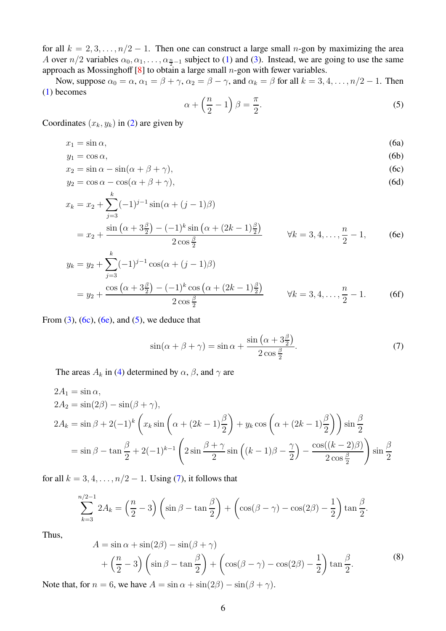for all  $k = 2, 3, \ldots, n/2 - 1$ . Then one can construct a large small n-gon by maximizing the area A over  $n/2$  variables  $\alpha_0, \alpha_1, \ldots, \alpha_{\frac{n}{2}-1}$  subject to [\(1\)](#page-4-1) and [\(3\)](#page-4-3). Instead, we are going to use the same approach as Mossinghoff  $[8]$  to obtain a large small *n*-gon with fewer variables.

Now, suppose  $\alpha_0 = \alpha$ ,  $\alpha_1 = \beta + \gamma$ ,  $\alpha_2 = \beta - \gamma$ , and  $\alpha_k = \beta$  for all  $k = 3, 4, \ldots, n/2 - 1$ . Then [\(1\)](#page-4-1) becomes

<span id="page-5-2"></span><span id="page-5-1"></span><span id="page-5-0"></span>
$$
\alpha + \left(\frac{n}{2} - 1\right)\beta = \frac{\pi}{2}.\tag{5}
$$

Coordinates  $(x_k, y_k)$  in [\(2\)](#page-4-2) are given by

$$
x_1 = \sin \alpha, \tag{6a}
$$

$$
y_1 = \cos \alpha, \tag{6b}
$$

$$
x_2 = \sin \alpha - \sin(\alpha + \beta + \gamma),\tag{6c}
$$

$$
y_2 = \cos \alpha - \cos(\alpha + \beta + \gamma),\tag{6d}
$$

$$
x_k = x_2 + \sum_{j=3}^k (-1)^{j-1} \sin(\alpha + (j-1)\beta)
$$
  
=  $x_2 + \frac{\sin(\alpha + 3\frac{\beta}{2}) - (-1)^k \sin(\alpha + (2k-1)\frac{\beta}{2})}{2 \cos\frac{\beta}{2}}$   $\forall k = 3, 4, ..., \frac{n}{2} - 1,$  (6e)

$$
y_k = y_2 + \sum_{j=3}^k (-1)^{j-1} \cos(\alpha + (j-1)\beta)
$$
  
=  $y_2 + \frac{\cos(\alpha + 3\frac{\beta}{2}) - (-1)^k \cos(\alpha + (2k-1)\frac{\beta}{2})}{2 \cos\frac{\beta}{2}}$   $\forall k = 3, 4, ..., \frac{n}{2} - 1.$  (6f)

From  $(3)$ ,  $(6c)$ ,  $(6e)$ , and  $(5)$ , we deduce that

<span id="page-5-3"></span>
$$
\sin(\alpha + \beta + \gamma) = \sin \alpha + \frac{\sin\left(\alpha + 3\frac{\beta}{2}\right)}{2\cos\frac{\beta}{2}}.
$$
\n(7)

The areas  $A_k$  in [\(4\)](#page-4-4) determined by  $\alpha$ ,  $\beta$ , and  $\gamma$  are

$$
2A_1 = \sin \alpha,
$$
  
\n
$$
2A_2 = \sin(2\beta) - \sin(\beta + \gamma),
$$
  
\n
$$
2A_k = \sin \beta + 2(-1)^k \left( x_k \sin \left( \alpha + (2k - 1)\frac{\beta}{2} \right) + y_k \cos \left( \alpha + (2k - 1)\frac{\beta}{2} \right) \right) \sin \frac{\beta}{2}
$$
  
\n
$$
= \sin \beta - \tan \frac{\beta}{2} + 2(-1)^{k-1} \left( 2 \sin \frac{\beta + \gamma}{2} \sin \left( (k - 1)\beta - \frac{\gamma}{2} \right) - \frac{\cos((k - 2)\beta)}{2 \cos \frac{\beta}{2}} \right) \sin \frac{\beta}{2}
$$

for all  $k = 3, 4, \ldots, n/2 - 1$ . Using [\(7\)](#page-5-3), it follows that

$$
\sum_{k=3}^{n/2-1} 2A_k = \left(\frac{n}{2} - 3\right) \left(\sin \beta - \tan \frac{\beta}{2}\right) + \left(\cos(\beta - \gamma) - \cos(2\beta) - \frac{1}{2}\right) \tan \frac{\beta}{2}.
$$

Thus,

<span id="page-5-4"></span>
$$
A = \sin \alpha + \sin(2\beta) - \sin(\beta + \gamma)
$$
  
+  $\left(\frac{n}{2} - 3\right) \left(\sin \beta - \tan \frac{\beta}{2}\right) + \left(\cos(\beta - \gamma) - \cos(2\beta) - \frac{1}{2}\right) \tan \frac{\beta}{2}.$  (8)

Note that, for  $n = 6$ , we have  $A = \sin \alpha + \sin(2\beta) - \sin(\beta + \gamma)$ .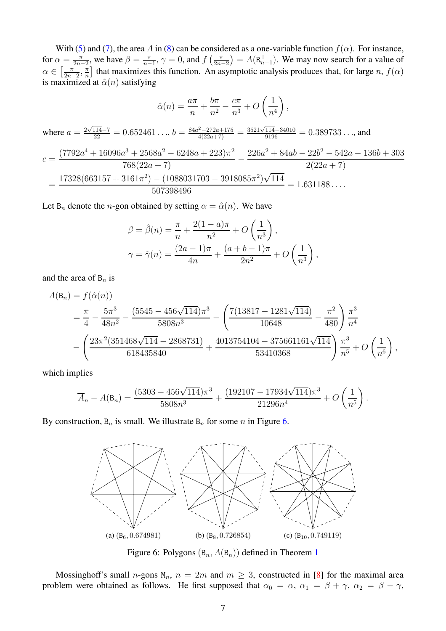With [\(5\)](#page-5-2) and [\(7\)](#page-5-3), the area A in [\(8\)](#page-5-4) can be considered as a one-variable function  $f(\alpha)$ . For instance, for  $\alpha = \frac{\pi}{2n}$  $\frac{\pi}{2n-2}$ , we have  $\beta = \frac{\pi}{n-2}$  $\frac{\pi}{n-1}$ ,  $\gamma = 0$ , and  $f\left(\frac{\pi}{2n}\right)$  $\left( \frac{\pi}{2n-2} \right) = A(\mathbf{R}_{n-1}^+)$ . We may now search for a value of  $\alpha \in \left[\frac{\pi}{2n}\right]$  $\frac{\pi}{2n-2}, \frac{\pi}{n}$  $\frac{\pi}{n}$  that maximizes this function. An asymptotic analysis produces that, for large n,  $f(\alpha)$ is maximized at  $\hat{\alpha}(n)$  satisfying

$$
\hat{\alpha}(n) = \frac{a\pi}{n} + \frac{b\pi}{n^2} - \frac{c\pi}{n^3} + O\left(\frac{1}{n^4}\right),
$$

where 
$$
a = \frac{2\sqrt{114}-7}{22} = 0.652461...
$$
,  $b = \frac{84a^2-272a+175}{4(22a+7)} = \frac{3521\sqrt{114}-34010}{9196} = 0.389733...$ , and

$$
c = \frac{(7792a^4 + 16096a^3 + 2568a^2 - 6248a + 223)\pi^2}{768(22a + 7)} - \frac{226a^2 + 84ab - 22b^2 - 542a - 136b + 303}{2(22a + 7)}
$$
  
= 
$$
\frac{17328(663157 + 3161\pi^2) - (1088031703 - 3918085\pi^2)\sqrt{114}}{507398496} = 1.631188...
$$

Let  $B_n$  denote the *n*-gon obtained by setting  $\alpha = \hat{\alpha}(n)$ . We have

$$
\beta = \hat{\beta}(n) = \frac{\pi}{n} + \frac{2(1-a)\pi}{n^2} + O\left(\frac{1}{n^3}\right),
$$
  

$$
\gamma = \hat{\gamma}(n) = \frac{(2a-1)\pi}{4n} + \frac{(a+b-1)\pi}{2n^2} + O\left(\frac{1}{n^3}\right),
$$

and the area of  $B_n$  is

$$
A(\mathbf{B}_n) = f(\hat{\alpha}(n))
$$
  
=  $\frac{\pi}{4} - \frac{5\pi^3}{48n^2} - \frac{(5545 - 456\sqrt{114})\pi^3}{5808n^3} - \left(\frac{7(13817 - 1281\sqrt{114})}{10648} - \frac{\pi^2}{480}\right) \frac{\pi^3}{n^4}$   
-  $\left(\frac{23\pi^2(351468\sqrt{114} - 2868731)}{618435840} + \frac{4013754104 - 375661161\sqrt{114}}{53410368}\right) \frac{\pi^3}{n^5} + O\left(\frac{1}{n^6}\right),$ 

which implies

$$
\overline{A}_n - A(\mathbf{B}_n) = \frac{(5303 - 456\sqrt{114})\pi^3}{5808n^3} + \frac{(192107 - 17934\sqrt{114})\pi^3}{21296n^4} + O\left(\frac{1}{n^5}\right).
$$

<span id="page-6-0"></span>By construction,  $B_n$  is small. We illustrate  $B_n$  for some n in Figure [6.](#page-6-0)



Figure 6: Polygons  $(B_n, A(B_n))$  defined in Theorem [1](#page-2-1)

Mossinghoff's small n-gons  $M_n$ ,  $n = 2m$  and  $m \ge 3$ , constructed in [\[8\]](#page-8-7) for the maximal area problem were obtained as follows. He first supposed that  $\alpha_0 = \alpha$ ,  $\alpha_1 = \beta + \gamma$ ,  $\alpha_2 = \beta - \gamma$ ,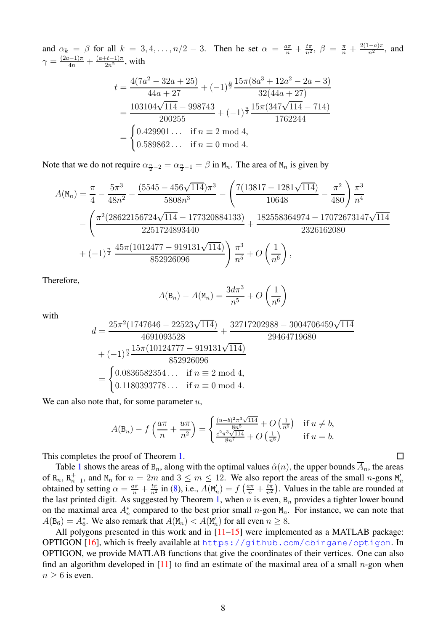and  $\alpha_k = \beta$  for all  $k = 3, 4, \ldots, n/2 - 3$ . Then he set  $\alpha = \frac{a\pi}{n} + \frac{t\pi}{n^2}$ ,  $\beta = \frac{\pi}{n} + \frac{2(1-a)\pi}{n^2}$ , and  $\gamma=\frac{(2a-1)\pi}{4n}+\frac{(a+t-1)\pi}{2n^2}$ , with

$$
t = \frac{4(7a^2 - 32a + 25)}{44a + 27} + (-1)^{\frac{n}{2}} \frac{15\pi (8a^3 + 12a^2 - 2a - 3)}{32(44a + 27)}
$$
  
= 
$$
\frac{103104\sqrt{114} - 998743}{200255} + (-1)^{\frac{n}{2}} \frac{15\pi (347\sqrt{114} - 714)}{1762244}
$$
  
= 
$$
\begin{cases} 0.429901 \dots & \text{if } n \equiv 2 \text{ mod } 4, \\ 0.589862 \dots & \text{if } n \equiv 0 \text{ mod } 4. \end{cases}
$$

Note that we do not require  $\alpha_{\frac{n}{2}-2} = \alpha_{\frac{n}{2}-1} = \beta$  in  $M_n$ . The area of  $M_n$  is given by

$$
A(\mathbf{M}_n) = \frac{\pi}{4} - \frac{5\pi^3}{48n^2} - \frac{(5545 - 456\sqrt{114})\pi^3}{5808n^3} - \left(\frac{7(13817 - 1281\sqrt{114})}{10648} - \frac{\pi^2}{480}\right)\frac{\pi^3}{n^4}
$$

$$
- \left(\frac{\pi^2(28622156724\sqrt{114} - 177320884133)}{2251724893440} + \frac{182558364974 - 17072673147\sqrt{114}}{2326162080}\right)
$$

$$
+ (-1)^{\frac{n}{2}} \frac{45\pi(1012477 - 919131\sqrt{114})}{852926096}\right) \frac{\pi^3}{n^5} + O\left(\frac{1}{n^6}\right),
$$

Therefore,

$$
A(\mathsf{B}_n) - A(\mathsf{M}_n) = \frac{3d\pi^3}{n^5} + O\left(\frac{1}{n^6}\right)
$$

with

$$
d = \frac{25\pi^2 (1747646 - 22523\sqrt{114})}{4691093528} + \frac{32717202988 - 3004706459\sqrt{114}}{29464719680}
$$
  
+  $(-1)^{\frac{n}{2}} \frac{15\pi (10124777 - 919131\sqrt{114})}{852926096}$   
= 
$$
\begin{cases} 0.0836582354 \dots & \text{if } n \equiv 2 \text{ mod } 4, \\ 0.1180393778 \dots & \text{if } n \equiv 0 \text{ mod } 4. \end{cases}
$$

We can also note that, for some parameter  $u$ ,

$$
A(\mathsf{B}_n) - f\left(\frac{a\pi}{n} + \frac{u\pi}{n^2}\right) = \begin{cases} \frac{(u-b)^2\pi^3\sqrt{114}}{8n^5} + O\left(\frac{1}{n^6}\right) & \text{if } u \neq b, \\ \frac{c^2\pi^3\sqrt{114}}{8n^7} + O\left(\frac{1}{n^8}\right) & \text{if } u = b. \end{cases}
$$

This completes the proof of Theorem [1.](#page-2-1)

Table [1](#page-8-9) shows the areas of  $B_n$ , along with the optimal values  $\hat{\alpha}(n)$ , the upper bounds  $\overline{A}_n$ , the areas of  $R_n$ ,  $R_{n-1}^+$ , and  $M_n$  for  $n = 2m$  and  $3 \le m \le 12$ . We also report the areas of the small n-gons  $M'_n$ obtained by setting  $\alpha = \frac{a\pi}{n} + \frac{t\pi}{n^2}$  in [\(8\)](#page-5-4), i.e.,  $A(M'_n) = f\left(\frac{a\pi}{n} + \frac{t\pi}{n^2}\right)$ . Values in the table are rounded at the last printed digit. As suggested by Theorem [1,](#page-2-1) when n is even,  $B_n$  provides a tighter lower bound on the maximal area  $A_n^*$  compared to the best prior small n-gon  $M_n$ . For instance, we can note that  $A(\mathsf{B}_6) = A_6^*$ . We also remark that  $A(\mathsf{M}_n) < A(\mathsf{M}'_n)$  for all even  $n \geq 8$ .

All polygons presented in this work and in  $[11–15]$  $[11–15]$  were implemented as a MATLAB package: OPTIGON [\[16\]](#page-9-4), which is freely available at <https://github.com/cbingane/optigon>. In OPTIGON, we provide MATLAB functions that give the coordinates of their vertices. One can also find an algorithm developed in  $[11]$  to find an estimate of the maximal area of a small n-gon when  $n \geq 6$  is even.

П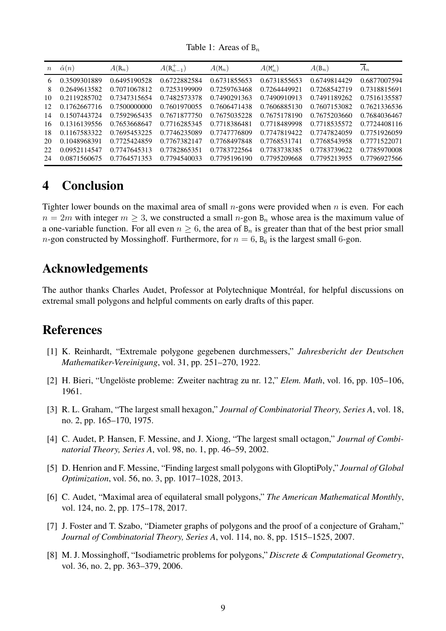Table 1: Areas of  $B_n$ 

<span id="page-8-9"></span>

| $\boldsymbol{n}$ | $\hat{\alpha}(n)$ | $A(\mathbf{R}_n)$ | $A(R_{n-1}^+)$ | $A(M_n)$     | $A(\mathsf{M}'_n)$ | $A(\mathsf{B}_n)$ | $\overline{A}_n$ |
|------------------|-------------------|-------------------|----------------|--------------|--------------------|-------------------|------------------|
| 6                | 0.3509301889      | 0.6495190528      | 0.6722882584   | 0.6731855653 | 0.6731855653       | 0.6749814429      | 0.6877007594     |
| 8                | 0.2649613582      | 0.7071067812      | 0.7253199909   | 0.7259763468 | 0.7264449921       | 0.7268542719      | 0.7318815691     |
| 10               | 0.2119285702      | 0.7347315654      | 0.7482573378   | 0.7490291363 | 0.7490910913       | 0.7491189262      | 0.7516135587     |
| 12               | 0.1762667716      | 0.7500000000      | 0.7601970055   | 0.7606471438 | 0.7606885130       | 0.7607153082      | 0.7621336536     |
| 14               | 0.1507443724      | 0.7592965435      | 0.7671877750   | 0.7675035228 | 0.7675178190       | 0.7675203660      | 0.7684036467     |
| 16               | 0.1316139556      | 0.7653668647      | 0.7716285345   | 0.7718386481 | 0.7718489998       | 0.7718535572      | 0.7724408116     |
| 18               | 0.1167583322      | 0.7695453225      | 0.7746235089   | 0.7747776809 | 0.7747819422       | 0.7747824059      | 0.7751926059     |
| 20               | 0.1048968391      | 0.7725424859      | 0.7767382147   | 0.7768497848 | 0.7768531741       | 0.7768543958      | 0.7771522071     |
| 22               | 0.0952114547      | 0.7747645313      | 0.7782865351   | 0.7783722564 | 0.7783738385       | 0.7783739622      | 0.7785970008     |
| 24               | 0.0871560675      | 0.7764571353      | 0.7794540033   | 0.7795196190 | 0.7795209668       | 0.7795213955      | 0.7796927566     |

# <span id="page-8-8"></span>**4 Conclusion**

Tighter lower bounds on the maximal area of small  $n$ -gons were provided when  $n$  is even. For each  $n = 2m$  with integer  $m \geq 3$ , we constructed a small n-gon  $B_n$  whose area is the maximum value of a one-variable function. For all even  $n \geq 6$ , the area of  $B_n$  is greater than that of the best prior small *n*-gon constructed by Mossinghoff. Furthermore, for  $n = 6$ ,  $B_6$  is the largest small 6-gon.

# **Acknowledgements**

The author thanks Charles Audet, Professor at Polytechnique Montréal, for helpful discussions on extremal small polygons and helpful comments on early drafts of this paper.

### <span id="page-8-0"></span>**References**

- [1] K. Reinhardt, "Extremale polygone gegebenen durchmessers," *Jahresbericht der Deutschen Mathematiker-Vereinigung*, vol. 31, pp. 251–270, 1922.
- <span id="page-8-2"></span><span id="page-8-1"></span>[2] H. Bieri, "Ungelöste probleme: Zweiter nachtrag zu nr. 12," *Elem. Math*, vol. 16, pp. 105–106, 1961.
- [3] R. L. Graham, "The largest small hexagon," *Journal of Combinatorial Theory, Series A*, vol. 18, no. 2, pp. 165–170, 1975.
- <span id="page-8-3"></span>[4] C. Audet, P. Hansen, F. Messine, and J. Xiong, "The largest small octagon," *Journal of Combinatorial Theory, Series A*, vol. 98, no. 1, pp. 46–59, 2002.
- <span id="page-8-4"></span>[5] D. Henrion and F. Messine, "Finding largest small polygons with GloptiPoly," *Journal of Global Optimization*, vol. 56, no. 3, pp. 1017–1028, 2013.
- <span id="page-8-5"></span>[6] C. Audet, "Maximal area of equilateral small polygons," *The American Mathematical Monthly*, vol. 124, no. 2, pp. 175–178, 2017.
- <span id="page-8-6"></span>[7] J. Foster and T. Szabo, "Diameter graphs of polygons and the proof of a conjecture of Graham," *Journal of Combinatorial Theory, Series A*, vol. 114, no. 8, pp. 1515–1525, 2007.
- <span id="page-8-7"></span>[8] M. J. Mossinghoff, "Isodiametric problems for polygons," *Discrete & Computational Geometry*, vol. 36, no. 2, pp. 363–379, 2006.